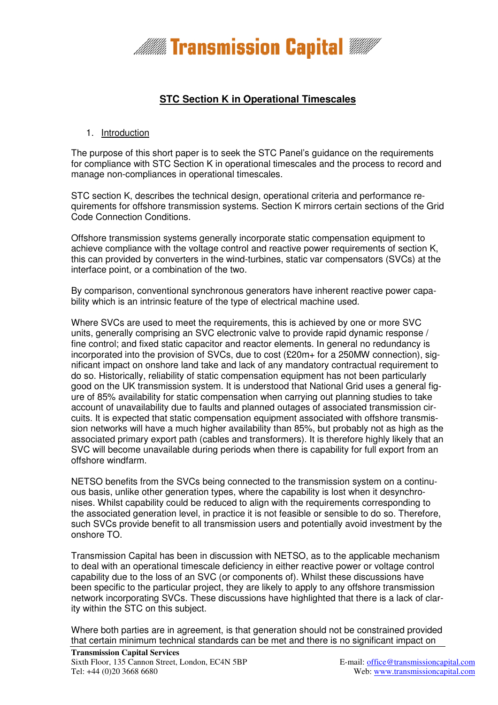

# **STC Section K in Operational Timescales**

### 1. Introduction

The purpose of this short paper is to seek the STC Panel's guidance on the requirements for compliance with STC Section K in operational timescales and the process to record and manage non-compliances in operational timescales.

STC section K, describes the technical design, operational criteria and performance requirements for offshore transmission systems. Section K mirrors certain sections of the Grid Code Connection Conditions.

Offshore transmission systems generally incorporate static compensation equipment to achieve compliance with the voltage control and reactive power requirements of section K, this can provided by converters in the wind-turbines, static var compensators (SVCs) at the interface point, or a combination of the two.

By comparison, conventional synchronous generators have inherent reactive power capability which is an intrinsic feature of the type of electrical machine used.

Where SVCs are used to meet the requirements, this is achieved by one or more SVC units, generally comprising an SVC electronic valve to provide rapid dynamic response / fine control; and fixed static capacitor and reactor elements. In general no redundancy is incorporated into the provision of SVCs, due to cost (£20m+ for a 250MW connection), significant impact on onshore land take and lack of any mandatory contractual requirement to do so. Historically, reliability of static compensation equipment has not been particularly good on the UK transmission system. It is understood that National Grid uses a general figure of 85% availability for static compensation when carrying out planning studies to take account of unavailability due to faults and planned outages of associated transmission circuits. It is expected that static compensation equipment associated with offshore transmission networks will have a much higher availability than 85%, but probably not as high as the associated primary export path (cables and transformers). It is therefore highly likely that an SVC will become unavailable during periods when there is capability for full export from an offshore windfarm.

NETSO benefits from the SVCs being connected to the transmission system on a continuous basis, unlike other generation types, where the capability is lost when it desynchronises. Whilst capability could be reduced to align with the requirements corresponding to the associated generation level, in practice it is not feasible or sensible to do so. Therefore, such SVCs provide benefit to all transmission users and potentially avoid investment by the onshore TO.

Transmission Capital has been in discussion with NETSO, as to the applicable mechanism to deal with an operational timescale deficiency in either reactive power or voltage control capability due to the loss of an SVC (or components of). Whilst these discussions have been specific to the particular project, they are likely to apply to any offshore transmission network incorporating SVCs. These discussions have highlighted that there is a lack of clarity within the STC on this subject.

Where both parties are in agreement, is that generation should not be constrained provided that certain minimum technical standards can be met and there is no significant impact on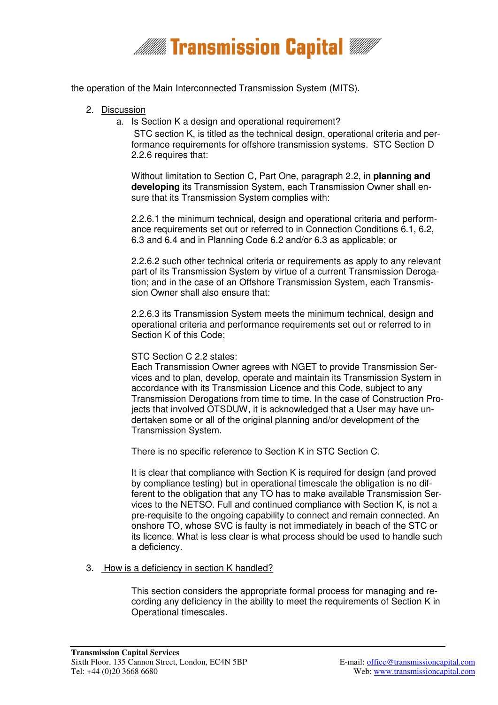

the operation of the Main Interconnected Transmission System (MITS).

- 2. Discussion
	- a. Is Section K a design and operational requirement?

 STC section K, is titled as the technical design, operational criteria and performance requirements for offshore transmission systems. STC Section D 2.2.6 requires that:

Without limitation to Section C, Part One, paragraph 2.2, in **planning and developing** its Transmission System, each Transmission Owner shall ensure that its Transmission System complies with:

2.2.6.1 the minimum technical, design and operational criteria and performance requirements set out or referred to in Connection Conditions 6.1, 6.2, 6.3 and 6.4 and in Planning Code 6.2 and/or 6.3 as applicable; or

2.2.6.2 such other technical criteria or requirements as apply to any relevant part of its Transmission System by virtue of a current Transmission Derogation; and in the case of an Offshore Transmission System, each Transmission Owner shall also ensure that:

2.2.6.3 its Transmission System meets the minimum technical, design and operational criteria and performance requirements set out or referred to in Section K of this Code;

#### STC Section C 2.2 states:

Each Transmission Owner agrees with NGET to provide Transmission Services and to plan, develop, operate and maintain its Transmission System in accordance with its Transmission Licence and this Code, subject to any Transmission Derogations from time to time. In the case of Construction Projects that involved OTSDUW, it is acknowledged that a User may have undertaken some or all of the original planning and/or development of the Transmission System.

There is no specific reference to Section K in STC Section C.

It is clear that compliance with Section K is required for design (and proved by compliance testing) but in operational timescale the obligation is no different to the obligation that any TO has to make available Transmission Services to the NETSO. Full and continued compliance with Section K, is not a pre-requisite to the ongoing capability to connect and remain connected. An onshore TO, whose SVC is faulty is not immediately in beach of the STC or its licence. What is less clear is what process should be used to handle such a deficiency.

#### 3. How is a deficiency in section K handled?

This section considers the appropriate formal process for managing and recording any deficiency in the ability to meet the requirements of Section K in Operational timescales.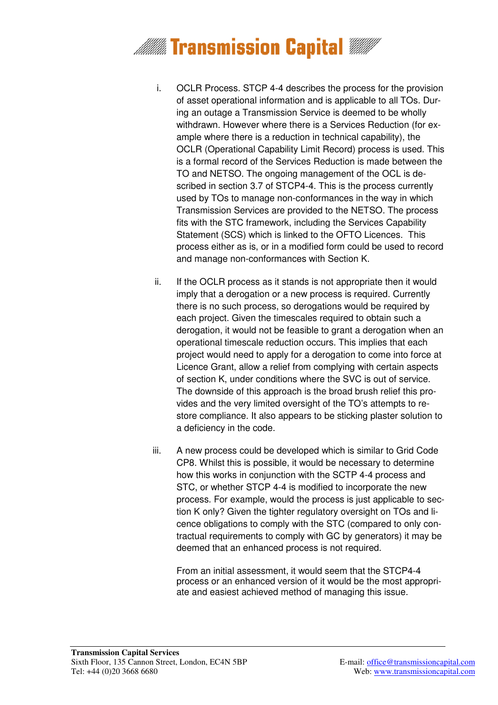

- i. OCLR Process. STCP 4-4 describes the process for the provision of asset operational information and is applicable to all TOs. During an outage a Transmission Service is deemed to be wholly withdrawn. However where there is a Services Reduction (for example where there is a reduction in technical capability), the OCLR (Operational Capability Limit Record) process is used. This is a formal record of the Services Reduction is made between the TO and NETSO. The ongoing management of the OCL is described in section 3.7 of STCP4-4. This is the process currently used by TOs to manage non-conformances in the way in which Transmission Services are provided to the NETSO. The process fits with the STC framework, including the Services Capability Statement (SCS) which is linked to the OFTO Licences. This process either as is, or in a modified form could be used to record and manage non-conformances with Section K.
- ii. If the OCLR process as it stands is not appropriate then it would imply that a derogation or a new process is required. Currently there is no such process, so derogations would be required by each project. Given the timescales required to obtain such a derogation, it would not be feasible to grant a derogation when an operational timescale reduction occurs. This implies that each project would need to apply for a derogation to come into force at Licence Grant, allow a relief from complying with certain aspects of section K, under conditions where the SVC is out of service. The downside of this approach is the broad brush relief this provides and the very limited oversight of the TO's attempts to restore compliance. It also appears to be sticking plaster solution to a deficiency in the code.
- iii. A new process could be developed which is similar to Grid Code CP8. Whilst this is possible, it would be necessary to determine how this works in conjunction with the SCTP 4-4 process and STC, or whether STCP 4-4 is modified to incorporate the new process. For example, would the process is just applicable to section K only? Given the tighter regulatory oversight on TOs and licence obligations to comply with the STC (compared to only contractual requirements to comply with GC by generators) it may be deemed that an enhanced process is not required.

From an initial assessment, it would seem that the STCP4-4 process or an enhanced version of it would be the most appropriate and easiest achieved method of managing this issue.